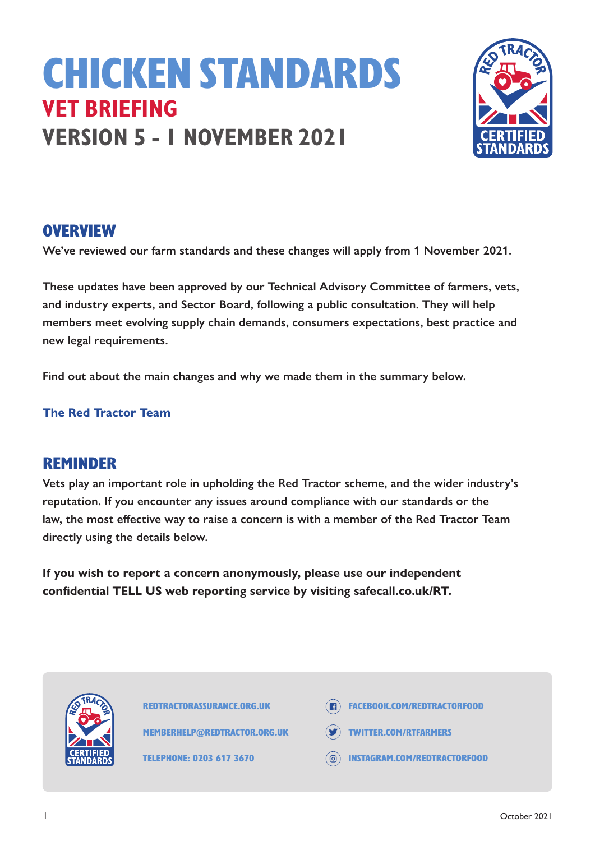# CHICKEN STANDARDS **VET BRIEFING VERSION 5 - 1 NOVEMBER 2021**



#### **OVERVIEW**

**We've reviewed our farm standards and these changes will apply from 1 November 2021.** 

**These updates have been approved by our Technical Advisory Committee of farmers, vets, and industry experts, and Sector Board, following a public consultation. They will help members meet evolving supply chain demands, consumers expectations, best practice and new legal requirements.** 

**Find out about the main changes and why we made them in the summary below.**

**The Red Tractor Team** 

#### REMINDER

**Vets play an important role in upholding the Red Tractor scheme, and the wider industry's reputation. If you encounter any issues around compliance with our standards or the law, the most effective way to raise a concern is with a member of the Red Tractor Team directly using the details below.**

**If you wish to report a concern anonymously, please use our independent confidential TELL US web reporting service by visiting safecall.co.uk/RT.**



REDTRACTORASSURANCE.ORG.UK

MEMBERHELP@REDTRACTOR.ORG.UK

TELEPHONE: 0203 617 3670

- **ER FACEBOOK.COM/REDTRACTORFOOD**
- TWITTER.COM/RTFARMERS
- INSTAGRAM.COM/REDTRACTORFOOD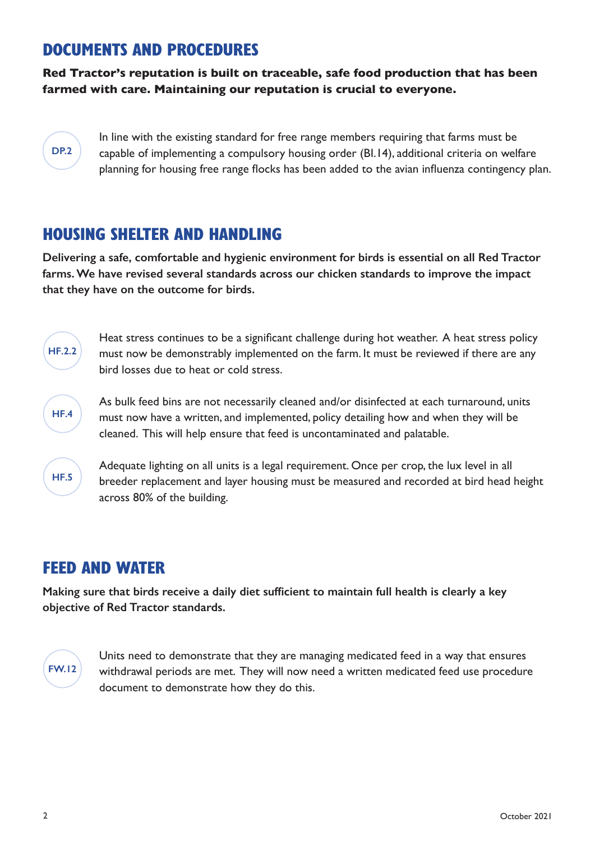#### DOCUMENTS AND PROCEDURES

**Red Tractor's reputation is built on traceable, safe food production that has been farmed with care. Maintaining our reputation is crucial to everyone.** 

#### **DP.2**

In line with the existing standard for free range members requiring that farms must be capable of implementing a compulsory housing order (BI.14), additional criteria on welfare planning for housing free range flocks has been added to the avian influenza contingency plan.

## HOUSING SHELTER AND HANDLING

**Delivering a safe, comfortable and hygienic environment for birds is essential on all Red Tractor farms. We have revised several standards across our chicken standards to improve the impact that they have on the outcome for birds.** 



Heat stress continues to be a significant challenge during hot weather. A heat stress policy must now be demonstrably implemented on the farm. It must be reviewed if there are any bird losses due to heat or cold stress.



As bulk feed bins are not necessarily cleaned and/or disinfected at each turnaround, units must now have a written, and implemented, policy detailing how and when they will be cleaned. This will help ensure that feed is uncontaminated and palatable.



Adequate lighting on all units is a legal requirement. Once per crop, the lux level in all breeder replacement and layer housing must be measured and recorded at bird head height across 80% of the building.

### FEED AND WATER

**Making sure that birds receive a daily diet sufficient to maintain full health is clearly a key objective of Red Tractor standards.** 



Units need to demonstrate that they are managing medicated feed in a way that ensures withdrawal periods are met. They will now need a written medicated feed use procedure document to demonstrate how they do this.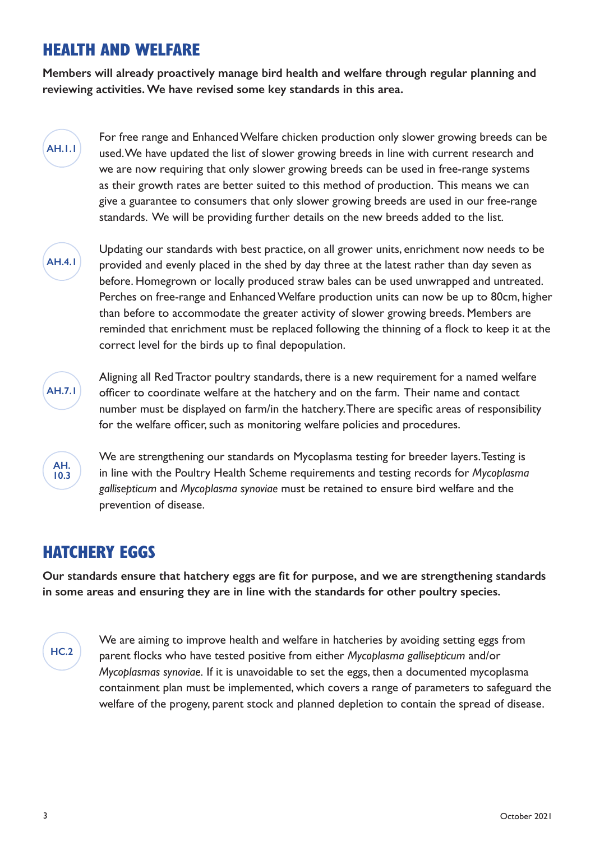# HEALTH AND WELFARE

**Members will already proactively manage bird health and welfare through regular planning and reviewing activities. We have revised some key standards in this area.** 

For free range and Enhanced Welfare chicken production only slower growing breeds can be used. We have updated the list of slower growing breeds in line with current research and we are now requiring that only slower growing breeds can be used in free-range systems as their growth rates are better suited to this method of production. This means we can give a guarantee to consumers that only slower growing breeds are used in our free-range standards. We will be providing further details on the new breeds added to the list.



**AH.1.1**

Updating our standards with best practice, on all grower units, enrichment now needs to be provided and evenly placed in the shed by day three at the latest rather than day seven as before. Homegrown or locally produced straw bales can be used unwrapped and untreated. Perches on free-range and Enhanced Welfare production units can now be up to 80cm, higher than before to accommodate the greater activity of slower growing breeds. Members are reminded that enrichment must be replaced following the thinning of a flock to keep it at the correct level for the birds up to final depopulation.



Aligning all Red Tractor poultry standards, there is a new requirement for a named welfare officer to coordinate welfare at the hatchery and on the farm. Their name and contact number must be displayed on farm/in the hatchery. There are specific areas of responsibility for the welfare officer, such as monitoring welfare policies and procedures.



We are strengthening our standards on Mycoplasma testing for breeder layers. Testing is in line with the Poultry Health Scheme requirements and testing records for *Mycoplasma gallisepticum* and *Mycoplasma synoviae* must be retained to ensure bird welfare and the prevention of disease.

# HATCHERY EGGS

**Our standards ensure that hatchery eggs are fit for purpose, and we are strengthening standards in some areas and ensuring they are in line with the standards for other poultry species.** 

# **HC.2**

We are aiming to improve health and welfare in hatcheries by avoiding setting eggs from parent flocks who have tested positive from either *Mycoplasma gallisepticum* and/or *Mycoplasmas synoviae.* If it is unavoidable to set the eggs, then a documented mycoplasma containment plan must be implemented, which covers a range of parameters to safeguard the welfare of the progeny, parent stock and planned depletion to contain the spread of disease.